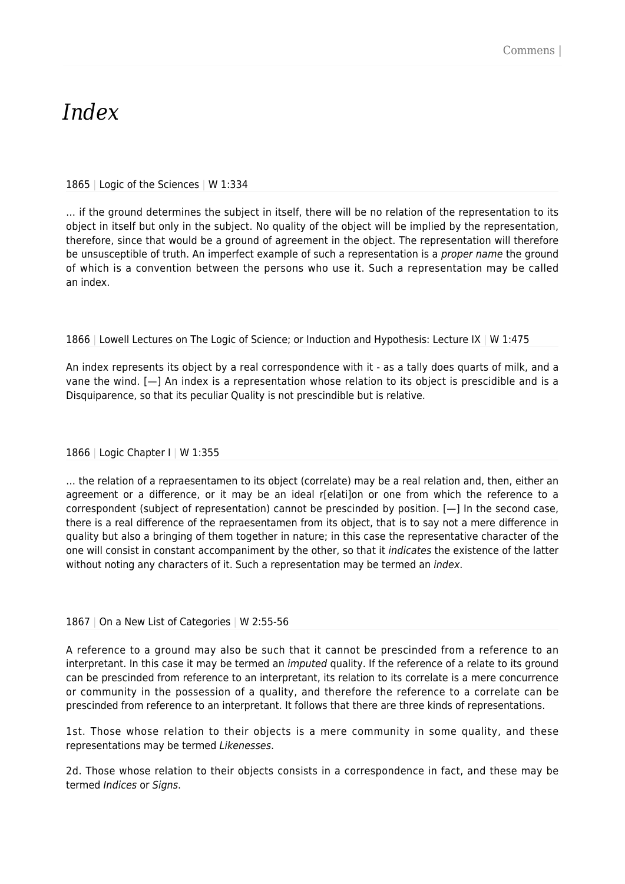# *Index*

## 1865 | Logic of the Sciences | W 1:334

… if the ground determines the subject in itself, there will be no relation of the representation to its object in itself but only in the subject. No quality of the object will be implied by the representation, therefore, since that would be a ground of agreement in the object. The representation will therefore be unsusceptible of truth. An imperfect example of such a representation is a *proper name* the ground of which is a convention between the persons who use it. Such a representation may be called an index.

#### 1866 | Lowell Lectures on The Logic of Science; or Induction and Hypothesis: Lecture IX | W 1:475

An index represents its object by a real correspondence with it - as a tally does quarts of milk, and a vane the wind. [—] An index is a representation whose relation to its object is prescidible and is a Disquiparence, so that its peculiar Quality is not prescindible but is relative.

## 1866 | Logic Chapter I | W 1:355

… the relation of a repraesentamen to its object (correlate) may be a real relation and, then, either an agreement or a difference, or it may be an ideal r[elati]on or one from which the reference to a correspondent (subject of representation) cannot be prescinded by position. [—] In the second case, there is a real difference of the repraesentamen from its object, that is to say not a mere difference in quality but also a bringing of them together in nature; in this case the representative character of the one will consist in constant accompaniment by the other, so that it indicates the existence of the latter without noting any characters of it. Such a representation may be termed an *index*.

#### 1867 | On a New List of Categories | W 2:55-56

A reference to a ground may also be such that it cannot be prescinded from a reference to an interpretant. In this case it may be termed an *imputed* quality. If the reference of a relate to its ground can be prescinded from reference to an interpretant, its relation to its correlate is a mere concurrence or community in the possession of a quality, and therefore the reference to a correlate can be prescinded from reference to an interpretant. It follows that there are three kinds of representations.

1st. Those whose relation to their objects is a mere community in some quality, and these representations may be termed Likenesses.

2d. Those whose relation to their objects consists in a correspondence in fact, and these may be termed Indices or Signs.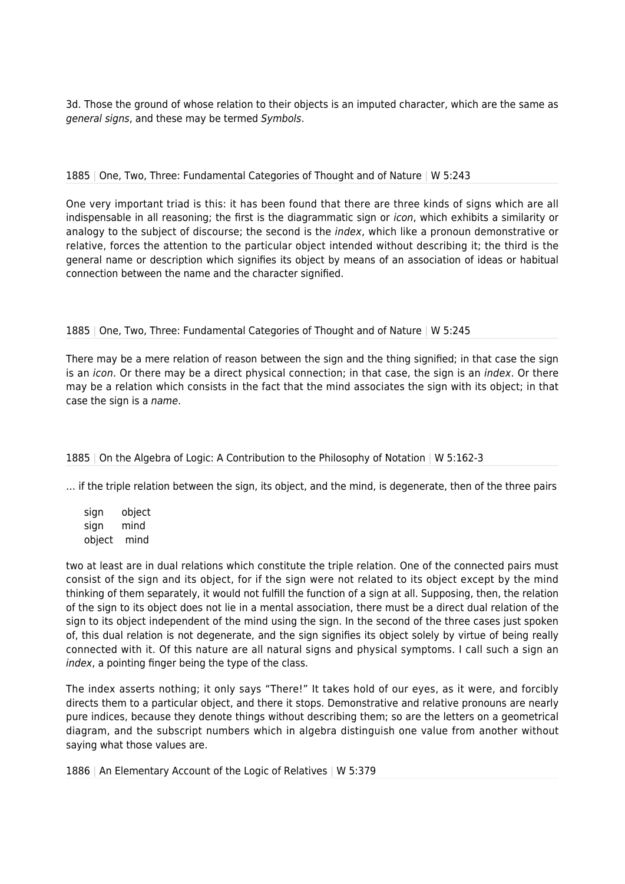3d. Those the ground of whose relation to their objects is an imputed character, which are the same as general signs, and these may be termed Symbols.

## 1885 | One, Two, Three: Fundamental Categories of Thought and of Nature | W 5:243

One very important triad is this: it has been found that there are three kinds of signs which are all indispensable in all reasoning; the first is the diagrammatic sign or icon, which exhibits a similarity or analogy to the subject of discourse; the second is the *index*, which like a pronoun demonstrative or relative, forces the attention to the particular object intended without describing it; the third is the general name or description which signifies its object by means of an association of ideas or habitual connection between the name and the character signified.

## 1885 | One, Two, Three: Fundamental Categories of Thought and of Nature | W 5:245

There may be a mere relation of reason between the sign and the thing signified; in that case the sign is an icon. Or there may be a direct physical connection; in that case, the sign is an index. Or there may be a relation which consists in the fact that the mind associates the sign with its object; in that case the sign is a name.

# 1885 | On the Algebra of Logic: A Contribution to the Philosophy of Notation | W 5:162-3

… if the triple relation between the sign, its object, and the mind, is degenerate, then of the three pairs

 sign object sign mind object mind

two at least are in dual relations which constitute the triple relation. One of the connected pairs must consist of the sign and its object, for if the sign were not related to its object except by the mind thinking of them separately, it would not fulfill the function of a sign at all. Supposing, then, the relation of the sign to its object does not lie in a mental association, there must be a direct dual relation of the sign to its object independent of the mind using the sign. In the second of the three cases just spoken of, this dual relation is not degenerate, and the sign signifies its object solely by virtue of being really connected with it. Of this nature are all natural signs and physical symptoms. I call such a sign an index, a pointing finger being the type of the class.

The index asserts nothing; it only says "There!" It takes hold of our eyes, as it were, and forcibly directs them to a particular object, and there it stops. Demonstrative and relative pronouns are nearly pure indices, because they denote things without describing them; so are the letters on a geometrical diagram, and the subscript numbers which in algebra distinguish one value from another without saying what those values are.

1886 | An Elementary Account of the Logic of Relatives | W 5:379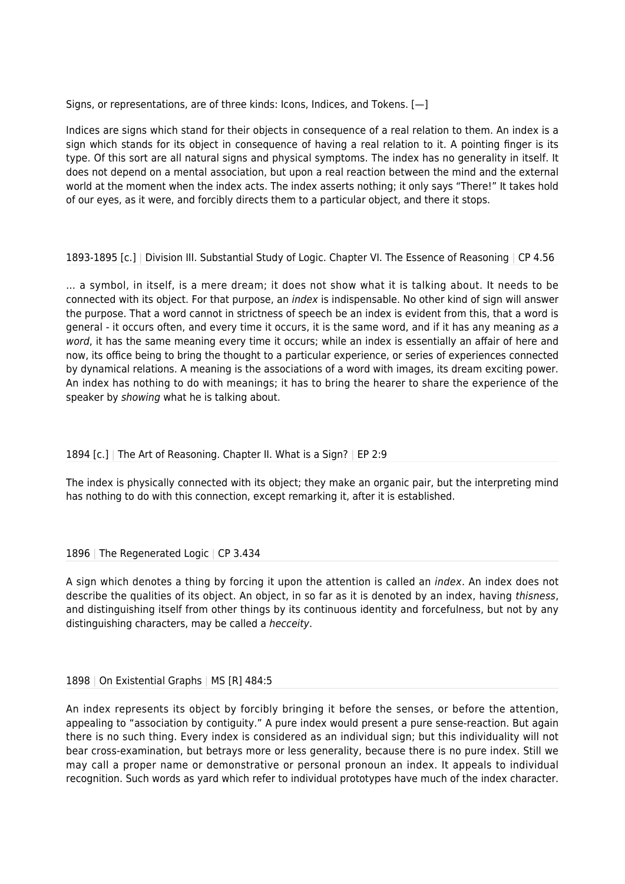Signs, or representations, are of three kinds: Icons, Indices, and Tokens. [—]

Indices are signs which stand for their objects in consequence of a real relation to them. An index is a sign which stands for its object in consequence of having a real relation to it. A pointing finger is its type. Of this sort are all natural signs and physical symptoms. The index has no generality in itself. It does not depend on a mental association, but upon a real reaction between the mind and the external world at the moment when the index acts. The index asserts nothing; it only says "There!" It takes hold of our eyes, as it were, and forcibly directs them to a particular object, and there it stops.

1893-1895 [c.] | Division III. Substantial Study of Logic. Chapter VI. The Essence of Reasoning | CP 4.56

… a symbol, in itself, is a mere dream; it does not show what it is talking about. It needs to be connected with its object. For that purpose, an index is indispensable. No other kind of sign will answer the purpose. That a word cannot in strictness of speech be an index is evident from this, that a word is general - it occurs often, and every time it occurs, it is the same word, and if it has any meaning as a word, it has the same meaning every time it occurs; while an index is essentially an affair of here and now, its office being to bring the thought to a particular experience, or series of experiences connected by dynamical relations. A meaning is the associations of a word with images, its dream exciting power. An index has nothing to do with meanings; it has to bring the hearer to share the experience of the speaker by showing what he is talking about.

# 1894 [c.] | The Art of Reasoning. Chapter II. What is a Sign? | EP 2:9

The index is physically connected with its object; they make an organic pair, but the interpreting mind has nothing to do with this connection, except remarking it, after it is established.

1896 | The Regenerated Logic | CP 3.434

A sign which denotes a thing by forcing it upon the attention is called an index. An index does not describe the qualities of its object. An object, in so far as it is denoted by an index, having thisness, and distinguishing itself from other things by its continuous identity and forcefulness, but not by any distinguishing characters, may be called a hecceity.

1898 | On Existential Graphs | MS [R] 484:5

An index represents its object by forcibly bringing it before the senses, or before the attention, appealing to "association by contiguity." A pure index would present a pure sense-reaction. But again there is no such thing. Every index is considered as an individual sign; but this individuality will not bear cross-examination, but betrays more or less generality, because there is no pure index. Still we may call a proper name or demonstrative or personal pronoun an index. It appeals to individual recognition. Such words as yard which refer to individual prototypes have much of the index character.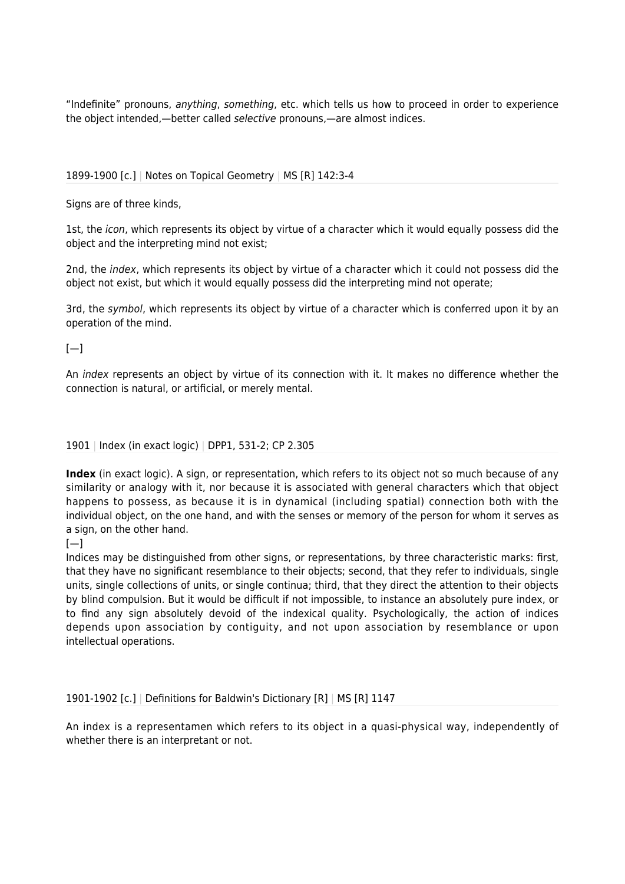"Indefinite" pronouns, anything, something, etc. which tells us how to proceed in order to experience the object intended,—better called selective pronouns,—are almost indices.

## 1899-1900 [c.] | Notes on Topical Geometry | MS [R] 142:3-4

Signs are of three kinds,

1st, the *icon*, which represents its object by virtue of a character which it would equally possess did the object and the interpreting mind not exist;

2nd, the index, which represents its object by virtue of a character which it could not possess did the object not exist, but which it would equally possess did the interpreting mind not operate;

3rd, the symbol, which represents its object by virtue of a character which is conferred upon it by an operation of the mind.

 $[-]$ 

An *index* represents an object by virtue of its connection with it. It makes no difference whether the connection is natural, or artificial, or merely mental.

## 1901 | Index (in exact logic) | DPP1, 531-2; CP 2.305

**Index** (in exact logic). A sign, or representation, which refers to its object not so much because of any similarity or analogy with it, nor because it is associated with general characters which that object happens to possess, as because it is in dynamical (including spatial) connection both with the individual object, on the one hand, and with the senses or memory of the person for whom it serves as a sign, on the other hand.

 $[-]$ 

Indices may be distinguished from other signs, or representations, by three characteristic marks: first, that they have no significant resemblance to their objects; second, that they refer to individuals, single units, single collections of units, or single continua; third, that they direct the attention to their objects by blind compulsion. But it would be difficult if not impossible, to instance an absolutely pure index, or to find any sign absolutely devoid of the indexical quality. Psychologically, the action of indices depends upon association by contiguity, and not upon association by resemblance or upon intellectual operations.

1901-1902 [c.] | Definitions for Baldwin's Dictionary [R] | MS [R] 1147

An index is a representamen which refers to its object in a quasi-physical way, independently of whether there is an interpretant or not.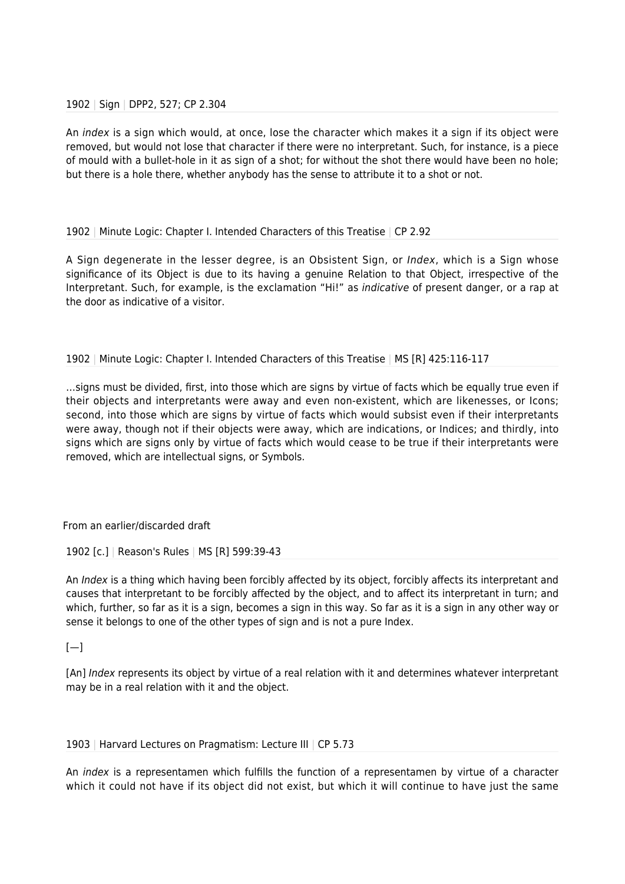## 1902 | Sign | DPP2, 527; CP 2.304

An *index* is a sign which would, at once, lose the character which makes it a sign if its object were removed, but would not lose that character if there were no interpretant. Such, for instance, is a piece of mould with a bullet-hole in it as sign of a shot; for without the shot there would have been no hole; but there is a hole there, whether anybody has the sense to attribute it to a shot or not.

## 1902 | Minute Logic: Chapter I. Intended Characters of this Treatise | CP 2.92

A Sign degenerate in the lesser degree, is an Obsistent Sign, or *Index*, which is a Sign whose significance of its Object is due to its having a genuine Relation to that Object, irrespective of the Interpretant. Such, for example, is the exclamation "Hi!" as indicative of present danger, or a rap at the door as indicative of a visitor.

## 1902 | Minute Logic: Chapter I. Intended Characters of this Treatise | MS [R] 425:116-117

…signs must be divided, first, into those which are signs by virtue of facts which be equally true even if their objects and interpretants were away and even non-existent, which are likenesses, or Icons; second, into those which are signs by virtue of facts which would subsist even if their interpretants were away, though not if their objects were away, which are indications, or Indices; and thirdly, into signs which are signs only by virtue of facts which would cease to be true if their interpretants were removed, which are intellectual signs, or Symbols.

From an earlier/discarded draft

1902 [c.] | Reason's Rules | MS [R] 599:39-43

An Index is a thing which having been forcibly affected by its object, forcibly affects its interpretant and causes that interpretant to be forcibly affected by the object, and to affect its interpretant in turn; and which, further, so far as it is a sign, becomes a sign in this way. So far as it is a sign in any other way or sense it belongs to one of the other types of sign and is not a pure Index.

 $[-]$ 

[An] Index represents its object by virtue of a real relation with it and determines whatever interpretant may be in a real relation with it and the object.

1903 | Harvard Lectures on Pragmatism: Lecture III | CP 5.73

An *index* is a representamen which fulfills the function of a representamen by virtue of a character which it could not have if its object did not exist, but which it will continue to have just the same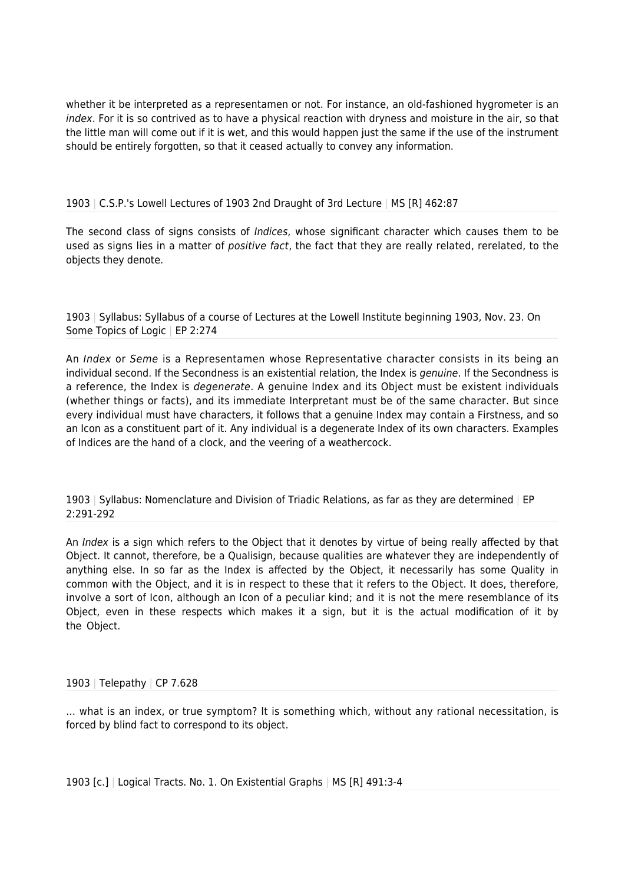whether it be interpreted as a representamen or not. For instance, an old-fashioned hygrometer is an index. For it is so contrived as to have a physical reaction with dryness and moisture in the air, so that the little man will come out if it is wet, and this would happen just the same if the use of the instrument should be entirely forgotten, so that it ceased actually to convey any information.

1903 | C.S.P.'s Lowell Lectures of 1903 2nd Draught of 3rd Lecture | MS [R] 462:87

The second class of signs consists of Indices, whose significant character which causes them to be used as signs lies in a matter of positive fact, the fact that they are really related, rerelated, to the objects they denote.

1903 | Syllabus: Syllabus of a course of Lectures at the Lowell Institute beginning 1903, Nov. 23. On Some Topics of Logic | EP 2:274

An Index or Seme is a Representamen whose Representative character consists in its being an individual second. If the Secondness is an existential relation, the Index is genuine. If the Secondness is a reference, the Index is degenerate. A genuine Index and its Object must be existent individuals (whether things or facts), and its immediate Interpretant must be of the same character. But since every individual must have characters, it follows that a genuine Index may contain a Firstness, and so an Icon as a constituent part of it. Any individual is a degenerate Index of its own characters. Examples of Indices are the hand of a clock, and the veering of a weathercock.

1903 | Syllabus: Nomenclature and Division of Triadic Relations, as far as they are determined | EP 2:291-292

An Index is a sign which refers to the Object that it denotes by virtue of being really affected by that Object. It cannot, therefore, be a Qualisign, because qualities are whatever they are independently of anything else. In so far as the Index is affected by the Object, it necessarily has some Quality in common with the Object, and it is in respect to these that it refers to the Object. It does, therefore, involve a sort of Icon, although an Icon of a peculiar kind; and it is not the mere resemblance of its Object, even in these respects which makes it a sign, but it is the actual modification of it by the Object.

1903 | Telepathy | CP 7.628

… what is an index, or true symptom? It is something which, without any rational necessitation, is forced by blind fact to correspond to its object.

1903 [c.] | Logical Tracts. No. 1. On Existential Graphs | MS [R] 491:3-4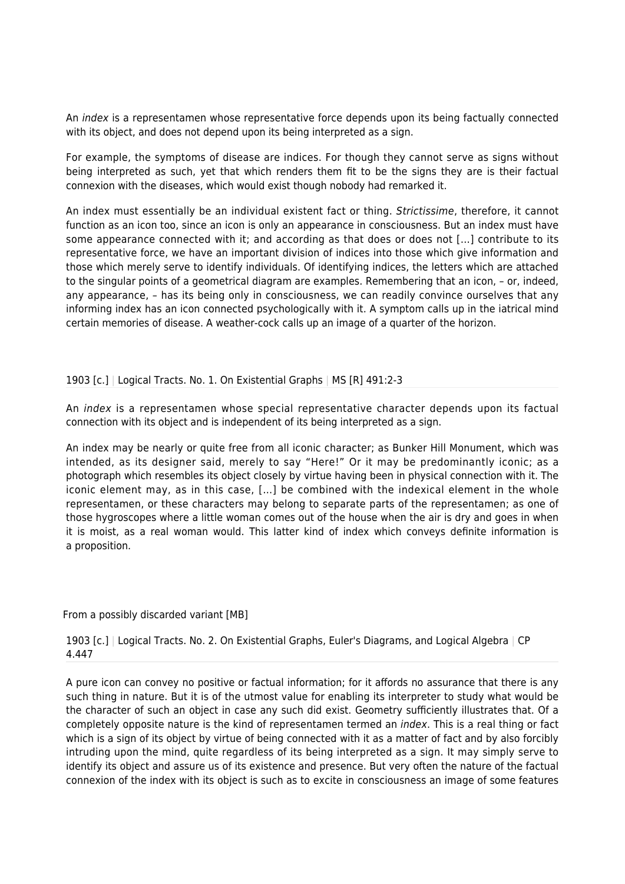An *index* is a representamen whose representative force depends upon its being factually connected with its object, and does not depend upon its being interpreted as a sign.

For example, the symptoms of disease are indices. For though they cannot serve as signs without being interpreted as such, yet that which renders them fit to be the signs they are is their factual connexion with the diseases, which would exist though nobody had remarked it.

An index must essentially be an individual existent fact or thing. Strictissime, therefore, it cannot function as an icon too, since an icon is only an appearance in consciousness. But an index must have some appearance connected with it; and according as that does or does not […] contribute to its representative force, we have an important division of indices into those which give information and those which merely serve to identify individuals. Of identifying indices, the letters which are attached to the singular points of a geometrical diagram are examples. Remembering that an icon, – or, indeed, any appearance, – has its being only in consciousness, we can readily convince ourselves that any informing index has an icon connected psychologically with it. A symptom calls up in the iatrical mind certain memories of disease. A weather-cock calls up an image of a quarter of the horizon.

## 1903 [c.] | Logical Tracts. No. 1. On Existential Graphs | MS [R] 491:2-3

An index is a representamen whose special representative character depends upon its factual connection with its object and is independent of its being interpreted as a sign.

An index may be nearly or quite free from all iconic character; as Bunker Hill Monument, which was intended, as its designer said, merely to say "Here!" Or it may be predominantly iconic; as a photograph which resembles its object closely by virtue having been in physical connection with it. The iconic element may, as in this case, […] be combined with the indexical element in the whole representamen, or these characters may belong to separate parts of the representamen; as one of those hygroscopes where a little woman comes out of the house when the air is dry and goes in when it is moist, as a real woman would. This latter kind of index which conveys definite information is a proposition.

## From a possibly discarded variant [MB]

1903 [c.] | Logical Tracts. No. 2. On Existential Graphs, Euler's Diagrams, and Logical Algebra | CP 4.447

A pure icon can convey no positive or factual information; for it affords no assurance that there is any such thing in nature. But it is of the utmost value for enabling its interpreter to study what would be the character of such an object in case any such did exist. Geometry sufficiently illustrates that. Of a completely opposite nature is the kind of representamen termed an index. This is a real thing or fact which is a sign of its object by virtue of being connected with it as a matter of fact and by also forcibly intruding upon the mind, quite regardless of its being interpreted as a sign. It may simply serve to identify its object and assure us of its existence and presence. But very often the nature of the factual connexion of the index with its object is such as to excite in consciousness an image of some features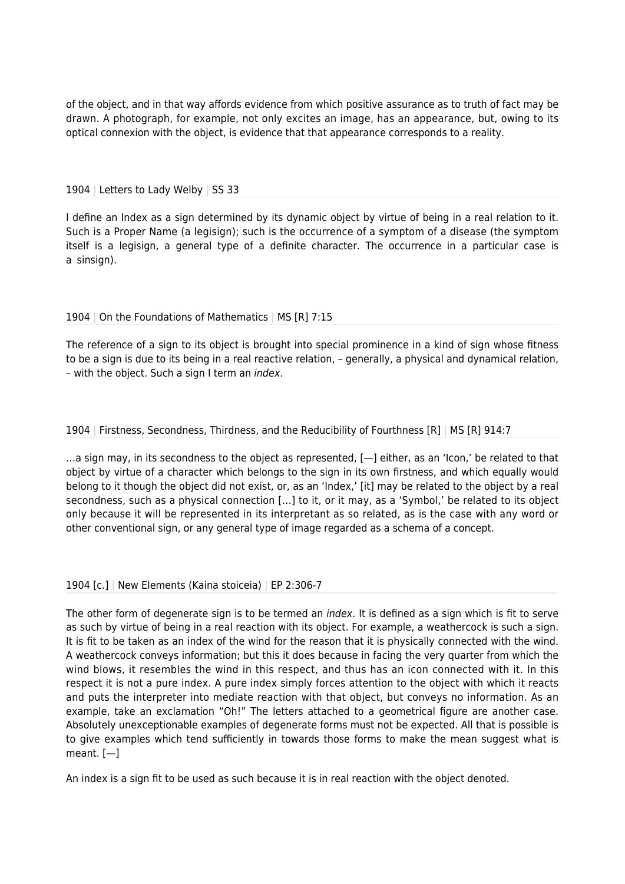of the object, and in that way affords evidence from which positive assurance as to truth of fact may be drawn. A photograph, for example, not only excites an image, has an appearance, but, owing to its optical connexion with the object, is evidence that that appearance corresponds to a reality.

#### 1904 | Letters to Lady Welby | SS 33

I define an Index as a sign determined by its dynamic object by virtue of being in a real relation to it. Such is a Proper Name (a legisign); such is the occurrence of a symptom of a disease (the symptom itself is a legisign, a general type of a definite character. The occurrence in a particular case is a sinsign).

## 1904 | On the Foundations of Mathematics | MS [R] 7:15

The reference of a sign to its object is brought into special prominence in a kind of sign whose fitness to be a sign is due to its being in a real reactive relation, – generally, a physical and dynamical relation, - with the object. Such a sign I term an index.

## 1904 | Firstness, Secondness, Thirdness, and the Reducibility of Fourthness [R] | MS [R] 914:7

…a sign may, in its secondness to the object as represented, [—] either, as an 'Icon,' be related to that object by virtue of a character which belongs to the sign in its own firstness, and which equally would belong to it though the object did not exist, or, as an 'Index,' [it] may be related to the object by a real secondness, such as a physical connection […] to it, or it may, as a 'Symbol,' be related to its object only because it will be represented in its interpretant as so related, as is the case with any word or other conventional sign, or any general type of image regarded as a schema of a concept.

#### 1904 [c.] | New Elements (Kaina stoiceia) | EP 2:306-7

The other form of degenerate sign is to be termed an *index*. It is defined as a sign which is fit to serve as such by virtue of being in a real reaction with its object. For example, a weathercock is such a sign. It is fit to be taken as an index of the wind for the reason that it is physically connected with the wind. A weathercock conveys information; but this it does because in facing the very quarter from which the wind blows, it resembles the wind in this respect, and thus has an icon connected with it. In this respect it is not a pure index. A pure index simply forces attention to the object with which it reacts and puts the interpreter into mediate reaction with that object, but conveys no information. As an example, take an exclamation "Oh!" The letters attached to a geometrical figure are another case. Absolutely unexceptionable examples of degenerate forms must not be expected. All that is possible is to give examples which tend sufficiently in towards those forms to make the mean suggest what is meant. [—]

An index is a sign fit to be used as such because it is in real reaction with the object denoted.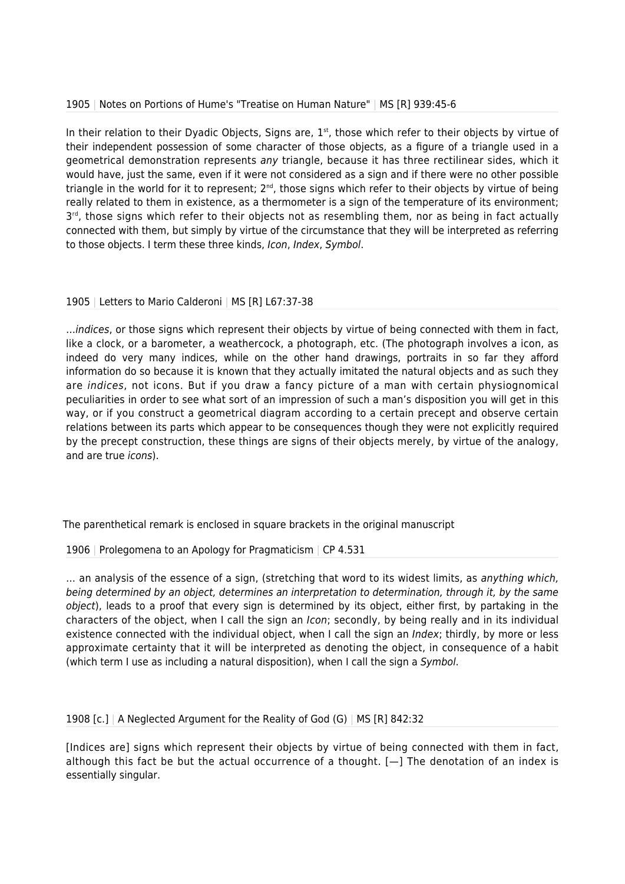## 1905 | Notes on Portions of Hume's "Treatise on Human Nature" | MS [R] 939:45-6

In their relation to their Dyadic Objects, Signs are,  $1<sup>st</sup>$ , those which refer to their objects by virtue of their independent possession of some character of those objects, as a figure of a triangle used in a geometrical demonstration represents any triangle, because it has three rectilinear sides, which it would have, just the same, even if it were not considered as a sign and if there were no other possible triangle in the world for it to represent; 2<sup>nd</sup>, those signs which refer to their objects by virtue of being really related to them in existence, as a thermometer is a sign of the temperature of its environment; 3<sup>rd</sup>, those signs which refer to their objects not as resembling them, nor as being in fact actually connected with them, but simply by virtue of the circumstance that they will be interpreted as referring to those objects. I term these three kinds, Icon, Index, Symbol.

## 1905 | Letters to Mario Calderoni | MS [R] L67:37-38

...indices, or those signs which represent their objects by virtue of being connected with them in fact, like a clock, or a barometer, a weathercock, a photograph, etc. (The photograph involves a icon, as indeed do very many indices, while on the other hand drawings, portraits in so far they afford information do so because it is known that they actually imitated the natural objects and as such they are *indices*, not icons. But if you draw a fancy picture of a man with certain physiognomical peculiarities in order to see what sort of an impression of such a man's disposition you will get in this way, or if you construct a geometrical diagram according to a certain precept and observe certain relations between its parts which appear to be consequences though they were not explicitly required by the precept construction, these things are signs of their objects merely, by virtue of the analogy, and are true icons).

The parenthetical remark is enclosed in square brackets in the original manuscript

1906 | Prolegomena to an Apology for Pragmaticism | CP 4.531

... an analysis of the essence of a sign, (stretching that word to its widest limits, as anything which, being determined by an object, determines an interpretation to determination, through it, by the same object), leads to a proof that every sign is determined by its object, either first, by partaking in the characters of the object, when I call the sign an Icon; secondly, by being really and in its individual existence connected with the individual object, when I call the sign an Index; thirdly, by more or less approximate certainty that it will be interpreted as denoting the object, in consequence of a habit (which term I use as including a natural disposition), when I call the sign a Symbol.

1908 [c.] | A Neglected Argument for the Reality of God (G) | MS [R] 842:32

[Indices are] signs which represent their objects by virtue of being connected with them in fact, although this fact be but the actual occurrence of a thought. [—] The denotation of an index is essentially singular.